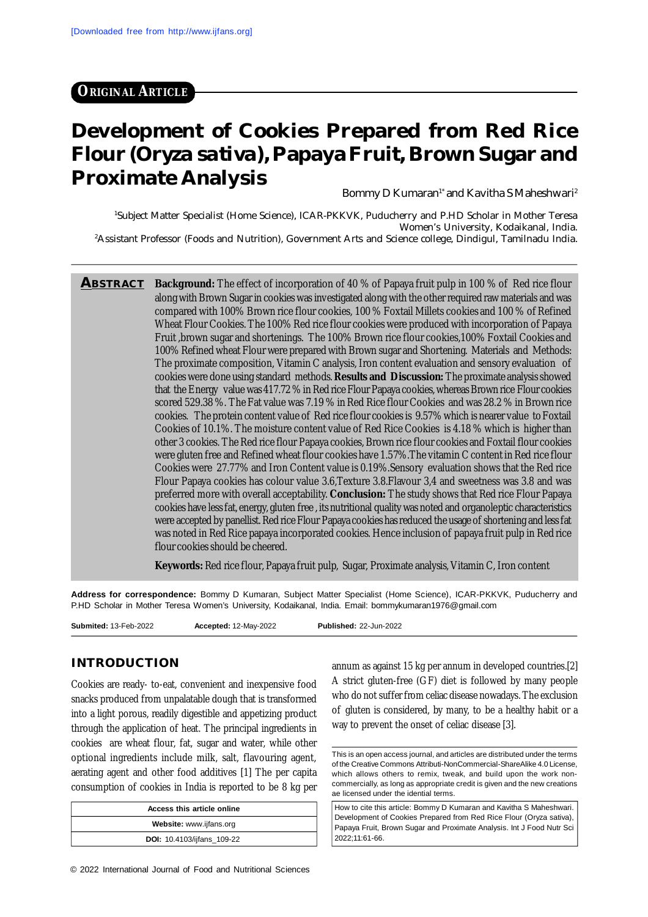# **ORIGINAL ARTICLE**

# **Development of Cookies Prepared from Red Rice Flour (***Oryza sativa***), Papaya Fruit, Brown Sugar and Proximate Analysis**

Bommy D Kumaran<sup>1\*</sup> and Kavitha S Maheshwari<sup>2</sup>

<sup>1</sup>Subject Matter Specialist (Home Science), ICAR-PKKVK, Puducherry and P.HD Scholar in Mother Teresa Women's University, Kodaikanal, India. <sup>2</sup>Assistant Professor (Foods and Nutrition), Government Arts and Science college, Dindigul, Tamilnadu India.

**ABSTRACT Background:** The effect of incorporation of 40 % of Papaya fruit pulp in 100 % of Red rice flour along with Brown Sugar in cookies was investigated along with the other required raw materials and was compared with 100% Brown rice flour cookies, 100 % Foxtail Millets cookies and 100 % of Refined Wheat Flour Cookies. The 100% Red rice flour cookies were produced with incorporation of Papaya Fruit ,brown sugar and shortenings. The 100% Brown rice flour cookies,100% Foxtail Cookies and 100% Refined wheat Flour were prepared with Brown sugar and Shortening. Materials and Methods: The proximate composition, Vitamin C analysis, Iron content evaluation and sensory evaluation of cookies were done using standard methods. **Results and Discussion:** The proximate analysis showed that the Energy value was 417.72 % in Red rice Flour Papaya cookies, whereas Brown rice Flour cookies scored 529.38 %. The Fat value was 7.19 % in Red Rice flour Cookies and was 28.2 % in Brown rice cookies. The protein content value of Red rice flour cookies is 9.57% which is nearer value to Foxtail Cookies of 10.1%. The moisture content value of Red Rice Cookies is 4.18 % which is higher than other 3 cookies. The Red rice flour Papaya cookies, Brown rice flour cookies and Foxtail flour cookies were gluten free and Refined wheat flour cookies have 1.57%.The vitamin C content in Red rice flour Cookies were 27.77% and Iron Content value is 0.19%.Sensory evaluation shows that the Red rice Flour Papaya cookies has colour value 3.6,Texture 3.8.Flavour 3,4 and sweetness was 3.8 and was preferred more with overall acceptability. **Conclusion:** The study shows that Red rice Flour Papaya cookies have less fat, energy, gluten free , its nutritional quality was noted and organoleptic characteristics were accepted by panellist. Red rice Flour Papaya cookies has reduced the usage of shortening and less fat was noted in Red Rice papaya incorporated cookies. Hence inclusion of papaya fruit pulp in Red rice flour cookies should be cheered.

**Keywords:** Red rice flour, Papaya fruit pulp, Sugar, Proximate analysis, Vitamin C, Iron content

**Address for correspondence:** Bommy D Kumaran, Subject Matter Specialist (Home Science), ICAR-PKKVK, Puducherry and P.HD Scholar in Mother Teresa Women's University, Kodaikanal, India. Email: [bommykumaran1976@gmail.com](mailto:bommykumaran1976@gmail.com)

**Submited:** 13-Feb-2022 **Accepted:** 12-May-2022 **Published:** 22-Jun-2022

#### **INTRODUCTION**

Cookies are ready- to-eat, convenient and inexpensive food snacks produced from unpalatable dough that is transformed into a light porous, readily digestible and appetizing product through the application of heat. The principal ingredients in cookies are wheat flour, fat, sugar and water, while other optional ingredients include milk, salt, flavouring agent, aerating agent and other food additives [1] The per capita consumption of cookies in India is reported to be 8 kg per

| Access this article online        |  |  |  |  |  |  |
|-----------------------------------|--|--|--|--|--|--|
| Website: www.ijfans.org           |  |  |  |  |  |  |
| <b>DOI:</b> 10.4103/ijfans 109-22 |  |  |  |  |  |  |

annum as against 15 kg per annum in developed countries.[2] A strict gluten-free (GF) diet is followed by many people who do not suffer from celiac disease nowadays. The exclusion of gluten is considered, by many, to be a healthy habit or a way to prevent the onset of celiac disease [3].

This is an open access journal, and articles are distributed under the terms of the Creative Commons Attributi-NonCommercial-ShareAlike 4.0 License, which allows others to remix, tweak, and build upon the work noncommercially, as long as appropriate credit is given and the new creations ae licensed under the idential terms.

How to cite this article: Bommy D Kumaran and Kavitha S Maheshwari. Development of Cookies Prepared from Red Rice Flour (Oryza sativa), Papaya Fruit, Brown Sugar and Proximate Analysis. Int J Food Nutr Sci 2022;11:61-66.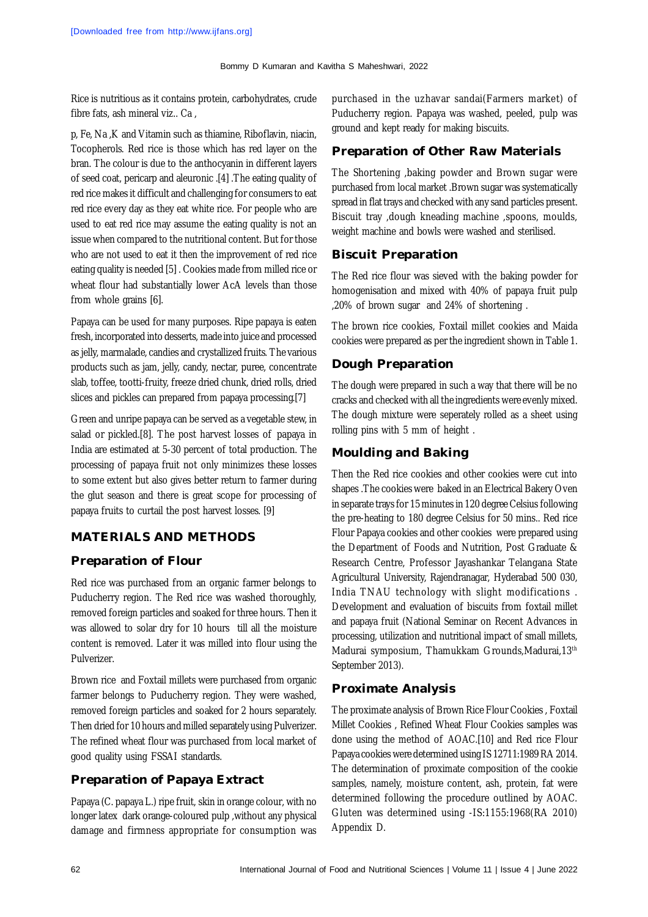Rice is nutritious as it contains protein, carbohydrates, crude fibre fats, ash mineral viz.. Ca ,

p, Fe, Na ,K and Vitamin such as thiamine, Riboflavin, niacin, Tocopherols. Red rice is those which has red layer on the bran. The colour is due to the anthocyanin in different layers of seed coat, pericarp and aleuronic .[4] .The eating quality of red rice makes it difficult and challenging for consumers to eat red rice every day as they eat white rice. For people who are used to eat red rice may assume the eating quality is not an issue when compared to the nutritional content. But for those who are not used to eat it then the improvement of red rice eating quality is needed [5] . Cookies made from milled rice or wheat flour had substantially lower AcA levels than those from whole grains [6].

Papaya can be used for many purposes. Ripe papaya is eaten fresh, incorporated into desserts, made into juice and processed as jelly, marmalade, candies and crystallized fruits. The various products such as jam, jelly, candy, nectar, puree, concentrate slab, toffee, tootti-fruity, freeze dried chunk, dried rolls, dried slices and pickles can prepared from papaya processing.[7]

Green and unripe papaya can be served as a vegetable stew, in salad or pickled.[8]. The post harvest losses of papaya in India are estimated at 5-30 percent of total production. The processing of papaya fruit not only minimizes these losses to some extent but also gives better return to farmer during the glut season and there is great scope for processing of papaya fruits to curtail the post harvest losses. [9]

### **MATERIALS AND METHODS**

#### **Preparation of Flour**

Red rice was purchased from an organic farmer belongs to Puducherry region. The Red rice was washed thoroughly, removed foreign particles and soaked for three hours. Then it was allowed to solar dry for 10 hours till all the moisture content is removed. Later it was milled into flour using the Pulverizer.

Brown rice and Foxtail millets were purchased from organic farmer belongs to Puducherry region. They were washed, removed foreign particles and soaked for 2 hours separately. Then dried for 10 hours and milled separately using Pulverizer. The refined wheat flour was purchased from local market of good quality using FSSAI standards.

### **Preparation of Papaya Extract**

Papaya (C. papaya L.) ripe fruit, skin in orange colour, with no longer latex dark orange-coloured pulp ,without any physical damage and firmness appropriate for consumption was purchased in the uzhavar sandai(Farmers market) of Puducherry region. Papaya was washed, peeled, pulp was ground and kept ready for making biscuits.

### **Preparation of Other Raw Materials**

The Shortening ,baking powder and Brown sugar were purchased from local market .Brown sugar was systematically spread in flat trays and checked with any sand particles present. Biscuit tray ,dough kneading machine ,spoons, moulds, weight machine and bowls were washed and sterilised.

#### **Biscuit Preparation**

The Red rice flour was sieved with the baking powder for homogenisation and mixed with 40% of papaya fruit pulp ,20% of brown sugar and 24% of shortening .

The brown rice cookies, Foxtail millet cookies and Maida cookies were prepared as per the ingredient shown in Table 1.

#### **Dough Preparation**

The dough were prepared in such a way that there will be no cracks and checked with all the ingredients were evenly mixed. The dough mixture were seperately rolled as a sheet using rolling pins with 5 mm of height .

#### **Moulding and Baking**

Then the Red rice cookies and other cookies were cut into shapes .The cookies were baked in an Electrical Bakery Oven in separate trays for 15 minutes in 120 degree Celsius following the pre-heating to 180 degree Celsius for 50 mins.. Red rice Flour Papaya cookies and other cookies were prepared using the Department of Foods and Nutrition, Post Graduate & Research Centre, Professor Jayashankar Telangana State Agricultural University, Rajendranagar, Hyderabad 500 030, India TNAU technology with slight modifications . Development and evaluation of biscuits from foxtail millet and papaya fruit (National Seminar on Recent Advances in processing, utilization and nutritional impact of small millets, Madurai symposium, Thamukkam Grounds,Madurai,13th September 2013).

### **Proximate Analysis**

The proximate analysis of Brown Rice Flour Cookies , Foxtail Millet Cookies , Refined Wheat Flour Cookies samples was done using the method of AOAC.[10] and Red rice Flour Papaya cookies were determined using IS 12711:1989 RA 2014. The determination of proximate composition of the cookie samples, namely, moisture content, ash, protein, fat were determined following the procedure outlined by AOAC. Gluten was determined using -IS:1155:1968(RA 2010) Appendix D.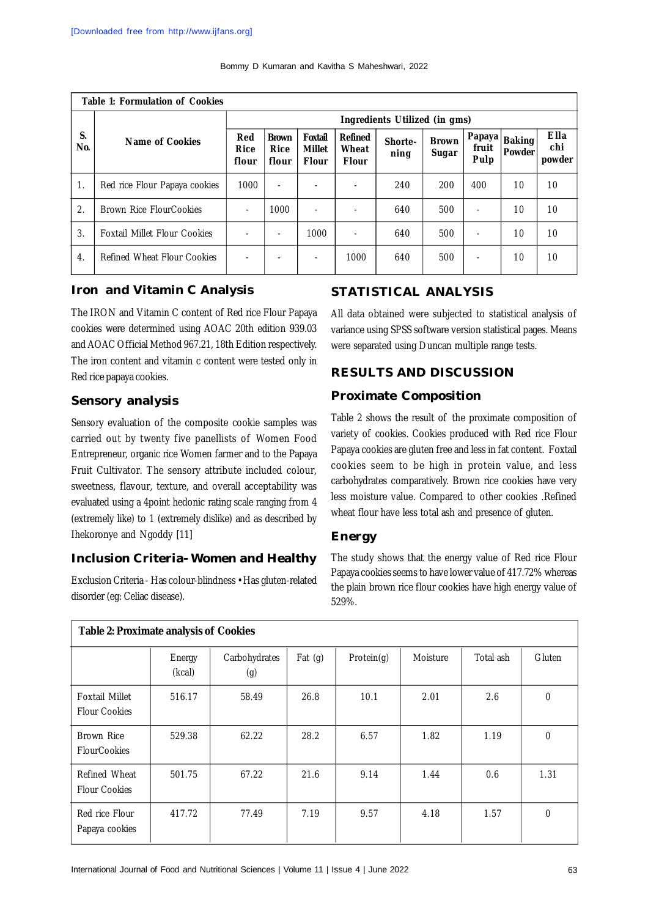| <b>Table 1: Formulation of Cookies</b> |                                     |                               |                               |                                          |                                         |                 |                       |                         |                         |                              |
|----------------------------------------|-------------------------------------|-------------------------------|-------------------------------|------------------------------------------|-----------------------------------------|-----------------|-----------------------|-------------------------|-------------------------|------------------------------|
|                                        | Name of Cookies                     | Ingredients Utilized (in gms) |                               |                                          |                                         |                 |                       |                         |                         |                              |
| S.<br>No.                              |                                     | Red<br><b>Rice</b><br>flour   | <b>Brown</b><br>Rice<br>flour | Foxtail<br><b>Millet</b><br><b>Flour</b> | <b>Refined</b><br>Wheat<br><b>Flour</b> | Shorte-<br>ning | <b>Brown</b><br>Sugar | Papaya<br>fruit<br>Pulp | <b>Baking</b><br>Powder | <b>Ella</b><br>chi<br>powder |
| 1.                                     | Red rice Flour Papaya cookies       | 1000                          |                               |                                          |                                         | 240             | 200                   | 400                     | 10                      | 10                           |
| 2.                                     | <b>Brown Rice FlourCookies</b>      | ۰                             | 1000                          | ۰                                        |                                         | 640             | 500                   | ٠                       | 10                      | 10                           |
| 3.                                     | <b>Foxtail Millet Flour Cookies</b> |                               | $\sim$                        | 1000                                     |                                         | 640             | 500                   | ٠                       | 10                      | 10                           |
| 4.                                     | <b>Refined Wheat Flour Cookies</b>  |                               |                               | ٠                                        | 1000                                    | 640             | 500                   | ۰                       | 10                      | 10                           |

#### **Iron and Vitamin C Analysis**

The IRON and Vitamin C content of Red rice Flour Papaya cookies were determined using AOAC 20th edition 939.03 and AOAC Official Method 967.21, 18th Edition respectively. The iron content and vitamin c content were tested only in Red rice papaya cookies.

#### **Sensory analysis**

Sensory evaluation of the composite cookie samples was carried out by twenty five panellists of Women Food Entrepreneur, organic rice Women farmer and to the Papaya Fruit Cultivator. The sensory attribute included colour, sweetness, flavour, texture, and overall acceptability was evaluated using a 4point hedonic rating scale ranging from 4 (extremely like) to 1 (extremely dislike) and as described by Ihekoronye and Ngoddy [11]

### **Inclusion Criteria- Women and Healthy**

Exclusion Criteria - Has colour-blindness • Has gluten-related disorder (eg: Celiac disease).

#### **STATISTICAL ANALYSIS**

All data obtained were subjected to statistical analysis of variance using SPSS software version statistical pages. Means were separated using Duncan multiple range tests.

## **RESULTS AND DISCUSSION**

### **Proximate Composition**

Table 2 shows the result of the proximate composition of variety of cookies. Cookies produced with Red rice Flour Papaya cookies are gluten free and less in fat content. Foxtail cookies seem to be high in protein value, and less carbohydrates comparatively. Brown rice cookies have very less moisture value. Compared to other cookies .Refined wheat flour have less total ash and presence of gluten.

#### **Energy**

The study shows that the energy value of Red rice Flour Papaya cookies seems to have lower value of 417.72% whereas the plain brown rice flour cookies have high energy value of 529%.

| Table 2: Proximate analysis of Cookies        |                  |                      |        |            |          |           |              |  |  |
|-----------------------------------------------|------------------|----------------------|--------|------------|----------|-----------|--------------|--|--|
|                                               | Energy<br>(kcal) | Carbohydrates<br>(g) | Fat(g) | Protein(g) | Moisture | Total ash | Gluten       |  |  |
| <b>Foxtail Millet</b><br><b>Flour Cookies</b> | 516.17           | 58.49                | 26.8   | 10.1       | 2.01     | 2.6       | $\mathbf 0$  |  |  |
| <b>Brown Rice</b><br><b>FlourCookies</b>      | 529.38           | 62.22                | 28.2   | 6.57       | 1.82     | 1.19      | $\mathbf 0$  |  |  |
| Refined Wheat<br><b>Flour Cookies</b>         | 501.75           | 67.22                | 21.6   | 9.14       | 1.44     | 0.6       | 1.31         |  |  |
| Red rice Flour<br>Papaya cookies              | 417.72           | 77.49                | 7.19   | 9.57       | 4.18     | 1.57      | $\mathbf{0}$ |  |  |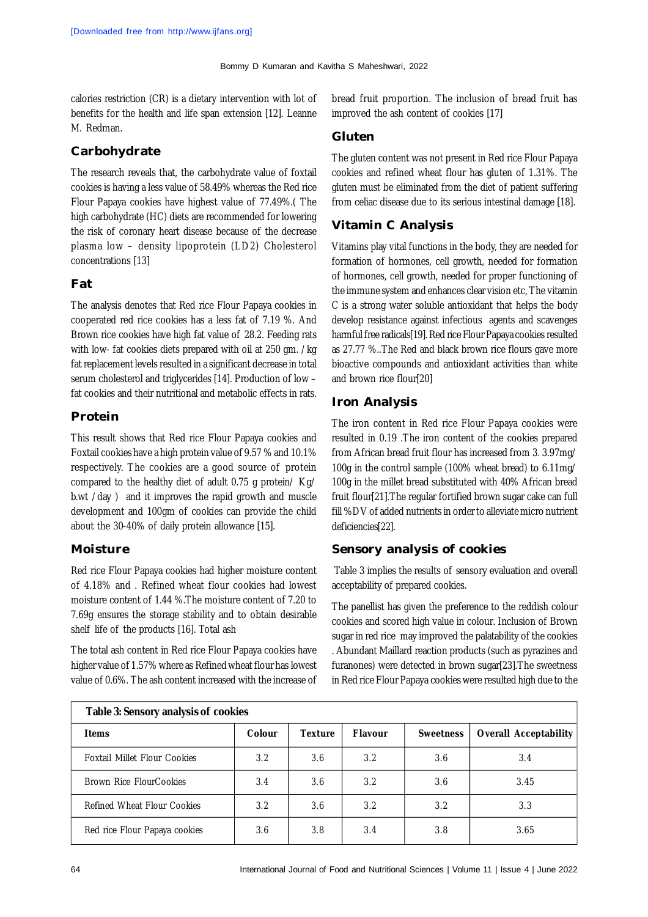calories restriction (CR) is a dietary intervention with lot of benefits for the health and life span extension [12]. Leanne M. Redman.

### **Carbohydrate**

The research reveals that, the carbohydrate value of foxtail cookies is having a less value of 58.49% whereas the Red rice Flour Papaya cookies have highest value of 77.49%.( The high carbohydrate (HC) diets are recommended for lowering the risk of coronary heart disease because of the decrease plasma low – density lipoprotein (LD2) Cholesterol concentrations [13]

## **Fat**

The analysis denotes that Red rice Flour Papaya cookies in cooperated red rice cookies has a less fat of 7.19 %. And Brown rice cookies have high fat value of 28.2. Feeding rats with low- fat cookies diets prepared with oil at 250 gm. /kg fat replacement levels resulted in a significant decrease in total serum cholesterol and triglycerides [14]. Production of low fat cookies and their nutritional and metabolic effects in rats.

## **Protein**

This result shows that Red rice Flour Papaya cookies and Foxtail cookies have a high protein value of 9.57 % and 10.1% respectively. The cookies are a good source of protein compared to the healthy diet of adult 0.75 g protein/ Kg/ b.wt /day ) and it improves the rapid growth and muscle development and 100gm of cookies can provide the child about the 30-40% of daily protein allowance [15].

### **Moisture**

Red rice Flour Papaya cookies had higher moisture content of 4.18% and . Refined wheat flour cookies had lowest moisture content of 1.44 %.The moisture content of 7.20 to 7.69g ensures the storage stability and to obtain desirable shelf life of the products [16]. Total ash

The total ash content in Red rice Flour Papaya cookies have higher value of 1.57% where as Refined wheat flour has lowest value of 0.6%. The ash content increased with the increase of bread fruit proportion. The inclusion of bread fruit has improved the ash content of cookies [17]

#### **Gluten**

The gluten content was not present in Red rice Flour Papaya cookies and refined wheat flour has gluten of 1.31%. The gluten must be eliminated from the diet of patient suffering from celiac disease due to its serious intestinal damage [18].

## **Vitamin C Analysis**

Vitamins play vital functions in the body, they are needed for formation of hormones, cell growth, needed for formation of hormones, cell growth, needed for proper functioning of the immune system and enhances clear vision etc, The vitamin C is a strong water soluble antioxidant that helps the body develop resistance against infectious agents and scavenges harmful free radicals[19]. Red rice Flour Papaya cookies resulted as 27.77 %..The Red and black brown rice flours gave more bioactive compounds and antioxidant activities than white and brown rice flour[20]

### **Iron Analysis**

The iron content in Red rice Flour Papaya cookies were resulted in 0.19 .The iron content of the cookies prepared from African bread fruit flour has increased from 3. 3.97mg/ 100g in the control sample (100% wheat bread) to 6.11mg/ 100g in the millet bread substituted with 40% African bread fruit flour[21].The regular fortified brown sugar cake can full fill %DV of added nutrients in order to alleviate micro nutrient deficiencies[22].

# **Sensory analysis of cookies**

 Table 3 implies the results of sensory evaluation and overall acceptability of prepared cookies.

The panellist has given the preference to the reddish colour cookies and scored high value in colour. Inclusion of Brown sugar in red rice may improved the palatability of the cookies . Abundant Maillard reaction products (such as pyrazines and furanones) were detected in brown sugar[23].The sweetness in Red rice Flour Papaya cookies were resulted high due to the

| Table 3: Sensory analysis of cookies |        |                |                |                  |                              |  |  |  |
|--------------------------------------|--------|----------------|----------------|------------------|------------------------------|--|--|--|
| <b>Items</b>                         | Colour | <b>Texture</b> | <b>Flavour</b> | <b>Sweetness</b> | <b>Overall Acceptability</b> |  |  |  |
| <b>Foxtail Millet Flour Cookies</b>  | 3.2    | 3.6            | 3.2            | 3.6              | 3.4                          |  |  |  |
| Brown Rice FlourCookies              | 3.4    | 3.6            | 3.2            | 3.6              | 3.45                         |  |  |  |
| <b>Refined Wheat Flour Cookies</b>   | 3.2    | 3.6            | 3.2            | 3.2              | 3.3                          |  |  |  |
| Red rice Flour Papaya cookies        | 3.6    | 3.8            | 3.4            | 3.8              | 3.65                         |  |  |  |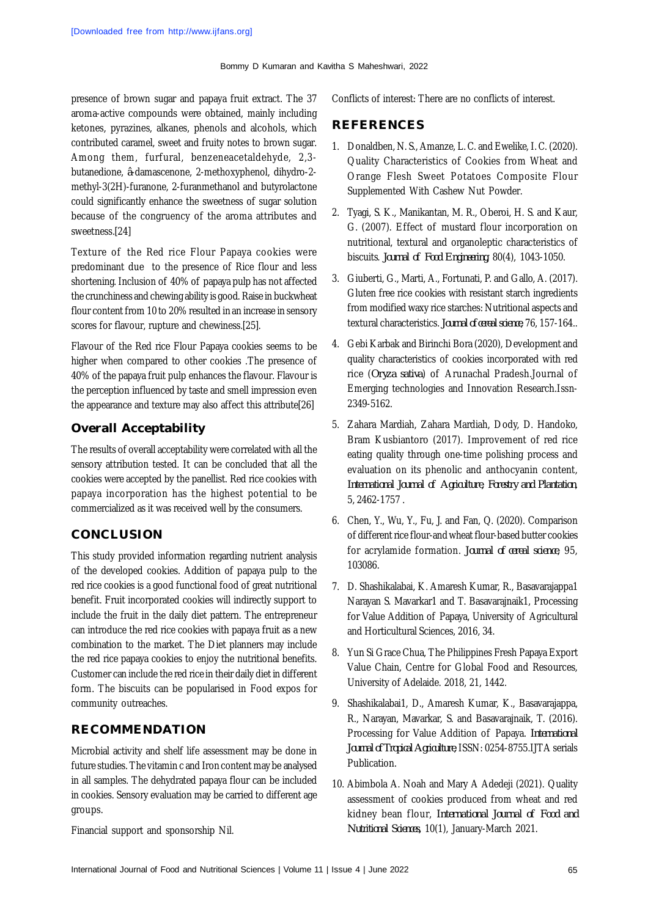presence of brown sugar and papaya fruit extract. The 37 aroma-active compounds were obtained, mainly including ketones, pyrazines, alkanes, phenols and alcohols, which contributed caramel, sweet and fruity notes to brown sugar. Among them, furfural, benzeneacetaldehyde, 2,3 butanedione, *â*-damascenone, 2-methoxyphenol, dihydro-2 methyl-3(2H)-furanone, 2-furanmethanol and butyrolactone could significantly enhance the sweetness of sugar solution because of the congruency of the aroma attributes and sweetness.[24]

Texture of the Red rice Flour Papaya cookies were predominant due to the presence of Rice flour and less shortening. Inclusion of 40% of papaya pulp has not affected the crunchiness and chewing ability is good. Raise in buckwheat flour content from 10 to 20% resulted in an increase in sensory scores for flavour, rupture and chewiness.[25].

Flavour of the Red rice Flour Papaya cookies seems to be higher when compared to other cookies .The presence of 40% of the papaya fruit pulp enhances the flavour. Flavour is the perception influenced by taste and smell impression even the appearance and texture may also affect this attribute[26]

## **Overall Acceptability**

The results of overall acceptability were correlated with all the sensory attribution tested. It can be concluded that all the cookies were accepted by the panellist. Red rice cookies with papaya incorporation has the highest potential to be commercialized as it was received well by the consumers.

### **CONCLUSION**

This study provided information regarding nutrient analysis of the developed cookies. Addition of papaya pulp to the red rice cookies is a good functional food of great nutritional benefit. Fruit incorporated cookies will indirectly support to include the fruit in the daily diet pattern. The entrepreneur can introduce the red rice cookies with papaya fruit as a new combination to the market. The Diet planners may include the red rice papaya cookies to enjoy the nutritional benefits. Customer can include the red rice in their daily diet in different form. The biscuits can be popularised in Food expos for community outreaches.

# **RECOMMENDATION**

Microbial activity and shelf life assessment may be done in future studies. The vitamin c and Iron content may be analysed in all samples. The dehydrated papaya flour can be included in cookies. Sensory evaluation may be carried to different age groups.

Financial support and sponsorship Nil.

Conflicts of interest: There are no conflicts of interest.

## **REFERENCES**

- 1. Donaldben, N. S., Amanze, L. C. and Ewelike, I. C. (2020). Quality Characteristics of Cookies from Wheat and Orange Flesh Sweet Potatoes Composite Flour Supplemented With Cashew Nut Powder.
- 2. Tyagi, S. K., Manikantan, M. R., Oberoi, H. S. and Kaur, G. (2007). Effect of mustard flour incorporation on nutritional, textural and organoleptic characteristics of biscuits. *Journal of Food Engineering*, 80(4), 1043-1050.
- 3. Giuberti, G., Marti, A., Fortunati, P. and Gallo, A. (2017). Gluten free rice cookies with resistant starch ingredients from modified waxy rice starches: Nutritional aspects and textural characteristics. *Journal of cereal science*, 76, 157-164..
- 4. Gebi Karbak and Birinchi Bora (2020), Development and quality characteristics of cookies incorporated with red rice (*Oryza sativa*) of Arunachal Pradesh.Journal of Emerging technologies and Innovation Research.Issn-2349-5162.
- 5. Zahara Mardiah, Zahara Mardiah, Dody, D. Handoko, Bram Kusbiantoro (2017). Improvement of red rice eating quality through one-time polishing process and evaluation on its phenolic and anthocyanin content, *International Journal of Agriculture, Forestry and Plantation*, 5, 2462-1757 .
- 6. Chen, Y., Wu, Y., Fu, J. and Fan, Q. (2020). Comparison of different rice flour-and wheat flour-based butter cookies for acrylamide formation. *Journal of cereal science*, 95, 103086.
- 7. D. Shashikalabai, K. Amaresh Kumar, R., Basavarajappa1 Narayan S. Mavarkar1 and T. Basavarajnaik1, Processing for Value Addition of Papaya, University of Agricultural and Horticultural Sciences, 2016, 34.
- 8. Yun Si Grace Chua, The Philippines Fresh Papaya Export Value Chain, Centre for Global Food and Resources, University of Adelaide. 2018, 21, 1442.
- 9. Shashikalabai1, D., Amaresh Kumar, K., Basavarajappa, R., Narayan, Mavarkar, S. and Basavarajnaik, T. (2016). Processing for Value Addition of Papaya. *International Journal of Tropical Agriculture*, ISSN: 0254-8755.IJTA serials Publication.
- 10. Abimbola A. Noah and Mary A Adedeji (2021). Quality assessment of cookies produced from wheat and red kidney bean flour, *International Journal of Food and Nutritional Sciences,* 10(1), January-March 2021.